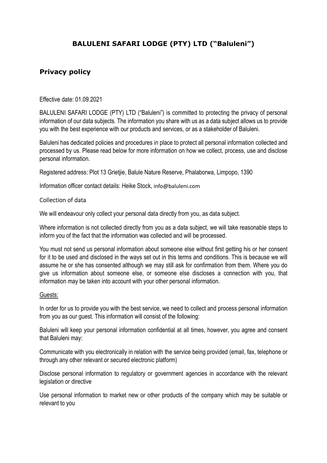# BALULENI SAFARI LODGE (PTY) LTD ("Baluleni")

## Privacy policy

Effective date: 01.09.2021

BALULENI SAFARI LODGE (PTY) LTD ("Baluleni") is committed to protecting the privacy of personal information of our data subjects. The information you share with us as a data subject allows us to provide you with the best experience with our products and services, or as a stakeholder of Baluleni.

Baluleni has dedicated policies and procedures in place to protect all personal information collected and processed by us. Please read below for more information on how we collect, process, use and disclose personal information.

Registered address: Plot 13 Grietjie, Balule Nature Reserve, Phalaborwa, Limpopo, 1390

Information officer contact details: Heike Stock, info@baluleni.com

#### Collection of data

We will endeavour only collect your personal data directly from you, as data subject.

Where information is not collected directly from you as a data subject, we will take reasonable steps to inform you of the fact that the information was collected and will be processed.

You must not send us personal information about someone else without first getting his or her consent for it to be used and disclosed in the ways set out in this terms and conditions. This is because we will assume he or she has consented although we may still ask for confirmation from them. Where you do give us information about someone else, or someone else discloses a connection with you, that information may be taken into account with your other personal information.

#### Guests:

In order for us to provide you with the best service, we need to collect and process personal information from you as our guest. This information will consist of the following:

Baluleni will keep your personal information confidential at all times, however, you agree and consent that Baluleni may:

Communicate with you electronically in relation with the service being provided (email, fax, telephone or through any other relevant or secured electronic platform)

Disclose personal information to regulatory or government agencies in accordance with the relevant legislation or directive

Use personal information to market new or other products of the company which may be suitable or relevant to you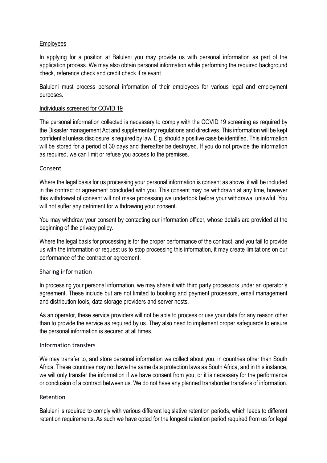## Employees

In applying for a position at Baluleni you may provide us with personal information as part of the application process. We may also obtain personal information while performing the required background check, reference check and credit check if relevant.

Baluleni must process personal information of their employees for various legal and employment purposes.

### Individuals screened for COVID 19

The personal information collected is necessary to comply with the COVID 19 screening as required by the Disaster management Act and supplementary regulations and directives. This information will be kept confidential unless disclosure is required by law. E.g. should a positive case be identified. This information will be stored for a period of 30 days and thereafter be destroyed. If you do not provide the information as required, we can limit or refuse you access to the premises.

## Consent

Where the legal basis for us processing your personal information is consent as above, it will be included in the contract or agreement concluded with you. This consent may be withdrawn at any time, however this withdrawal of consent will not make processing we undertook before your withdrawal unlawful. You will not suffer any detriment for withdrawing your consent.

You may withdraw your consent by contacting our information officer, whose details are provided at the beginning of the privacy policy.

Where the legal basis for processing is for the proper performance of the contract, and you fail to provide us with the information or request us to stop processing this information, it may create limitations on our performance of the contract or agreement.

#### Sharing information

In processing your personal information, we may share it with third party processors under an operator's agreement. These include but are not limited to booking and payment processors, email management and distribution tools, data storage providers and server hosts.

As an operator, these service providers will not be able to process or use your data for any reason other than to provide the service as required by us. They also need to implement proper safeguards to ensure the personal information is secured at all times.

#### Information transfers

We may transfer to, and store personal information we collect about you, in countries other than South Africa. These countries may not have the same data protection laws as South Africa, and in this instance, we will only transfer the information if we have consent from you, or it is necessary for the performance or conclusion of a contract between us. We do not have any planned transborder transfers of information.

#### Retention

Baluleni is required to comply with various different legislative retention periods, which leads to different retention requirements. As such we have opted for the longest retention period required from us for legal